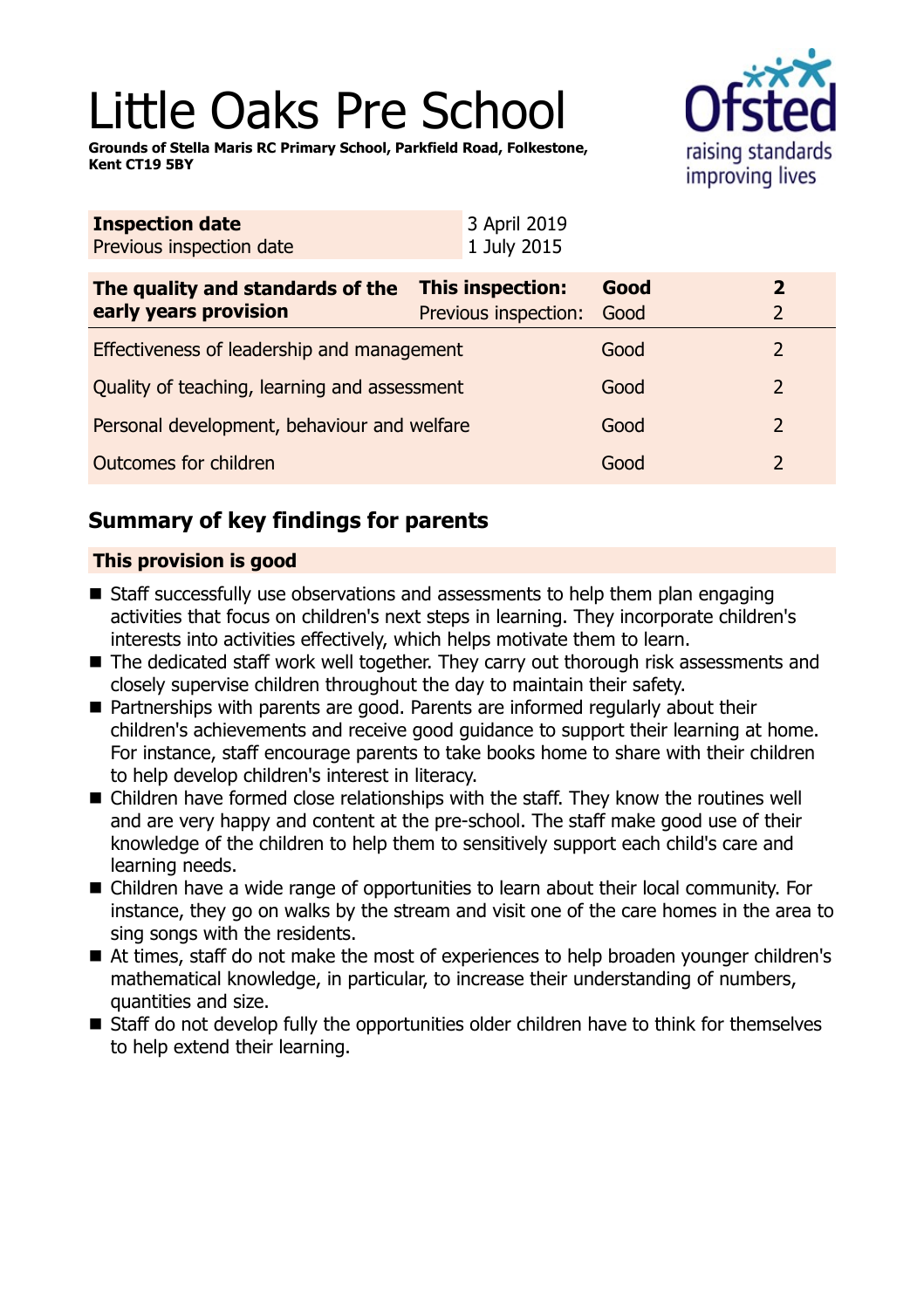# Little Oaks Pre School

**Grounds of Stella Maris RC Primary School, Parkfield Road, Folkestone, Kent CT19 5BY**



| <b>Inspection date</b><br>Previous inspection date        | 3 April 2019<br>1 July 2015                     |              |                   |
|-----------------------------------------------------------|-------------------------------------------------|--------------|-------------------|
| The quality and standards of the<br>early years provision | <b>This inspection:</b><br>Previous inspection: | Good<br>Good | $\mathbf{2}$<br>2 |
| Effectiveness of leadership and management                |                                                 | Good         | 2                 |
| Quality of teaching, learning and assessment              |                                                 | Good         |                   |
| Personal development, behaviour and welfare               |                                                 | Good         | $\overline{2}$    |
| <b>Outcomes for children</b>                              |                                                 | Good         |                   |

## **Summary of key findings for parents**

## **This provision is good**

- $\blacksquare$  Staff successfully use observations and assessments to help them plan engaging activities that focus on children's next steps in learning. They incorporate children's interests into activities effectively, which helps motivate them to learn.
- $\blacksquare$  The dedicated staff work well together. They carry out thorough risk assessments and closely supervise children throughout the day to maintain their safety.
- Partnerships with parents are good. Parents are informed regularly about their children's achievements and receive good guidance to support their learning at home. For instance, staff encourage parents to take books home to share with their children to help develop children's interest in literacy.
- Children have formed close relationships with the staff. They know the routines well and are very happy and content at the pre-school. The staff make good use of their knowledge of the children to help them to sensitively support each child's care and learning needs.
- Children have a wide range of opportunities to learn about their local community. For instance, they go on walks by the stream and visit one of the care homes in the area to sing songs with the residents.
- At times, staff do not make the most of experiences to help broaden younger children's mathematical knowledge, in particular, to increase their understanding of numbers, quantities and size.
- Staff do not develop fully the opportunities older children have to think for themselves to help extend their learning.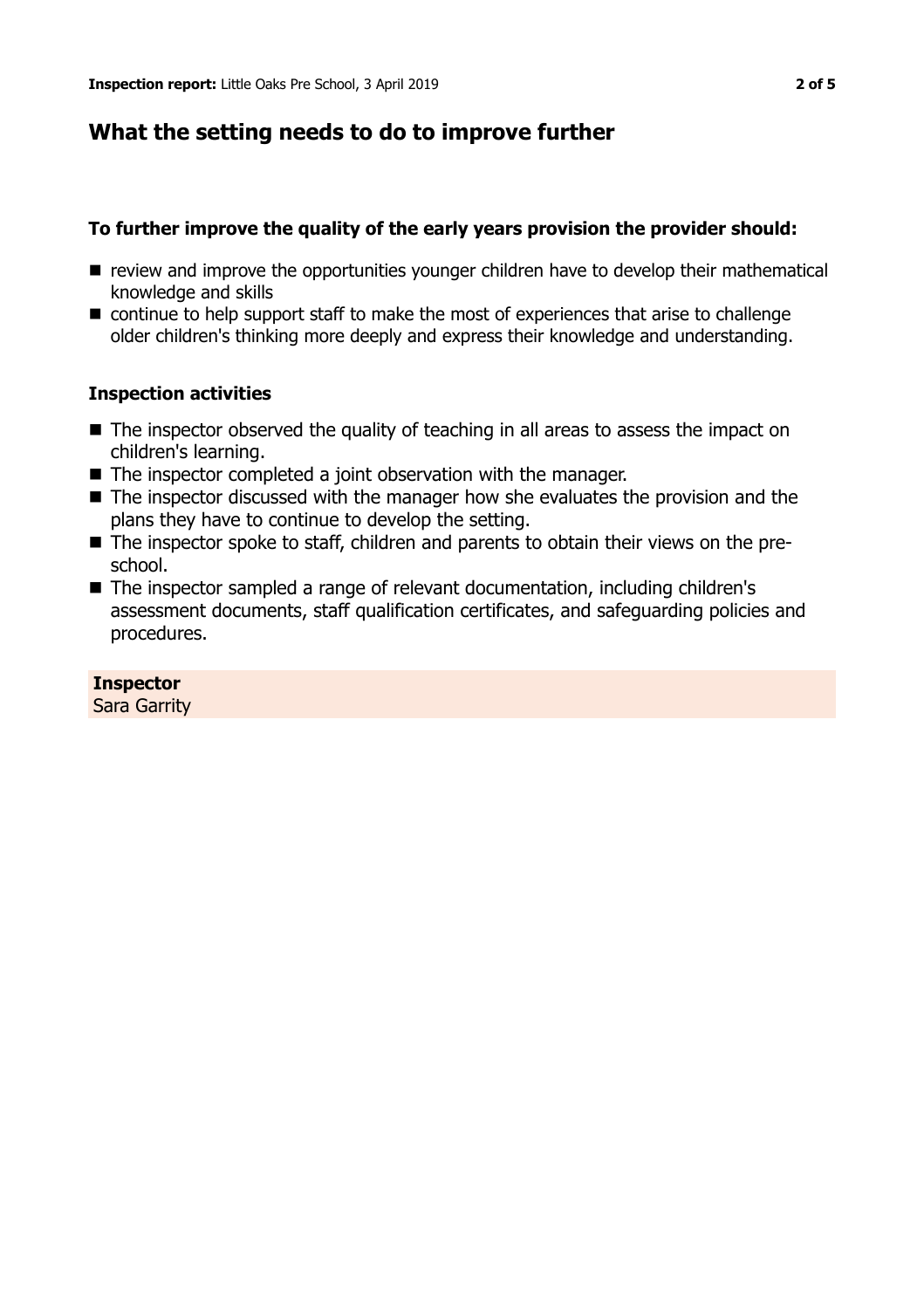## **What the setting needs to do to improve further**

## **To further improve the quality of the early years provision the provider should:**

- $\blacksquare$  review and improve the opportunities younger children have to develop their mathematical knowledge and skills
- continue to help support staff to make the most of experiences that arise to challenge older children's thinking more deeply and express their knowledge and understanding.

## **Inspection activities**

- $\blacksquare$  The inspector observed the quality of teaching in all areas to assess the impact on children's learning.
- $\blacksquare$  The inspector completed a joint observation with the manager.
- $\blacksquare$  The inspector discussed with the manager how she evaluates the provision and the plans they have to continue to develop the setting.
- The inspector spoke to staff, children and parents to obtain their views on the preschool.
- The inspector sampled a range of relevant documentation, including children's assessment documents, staff qualification certificates, and safeguarding policies and procedures.

#### **Inspector**

Sara Garrity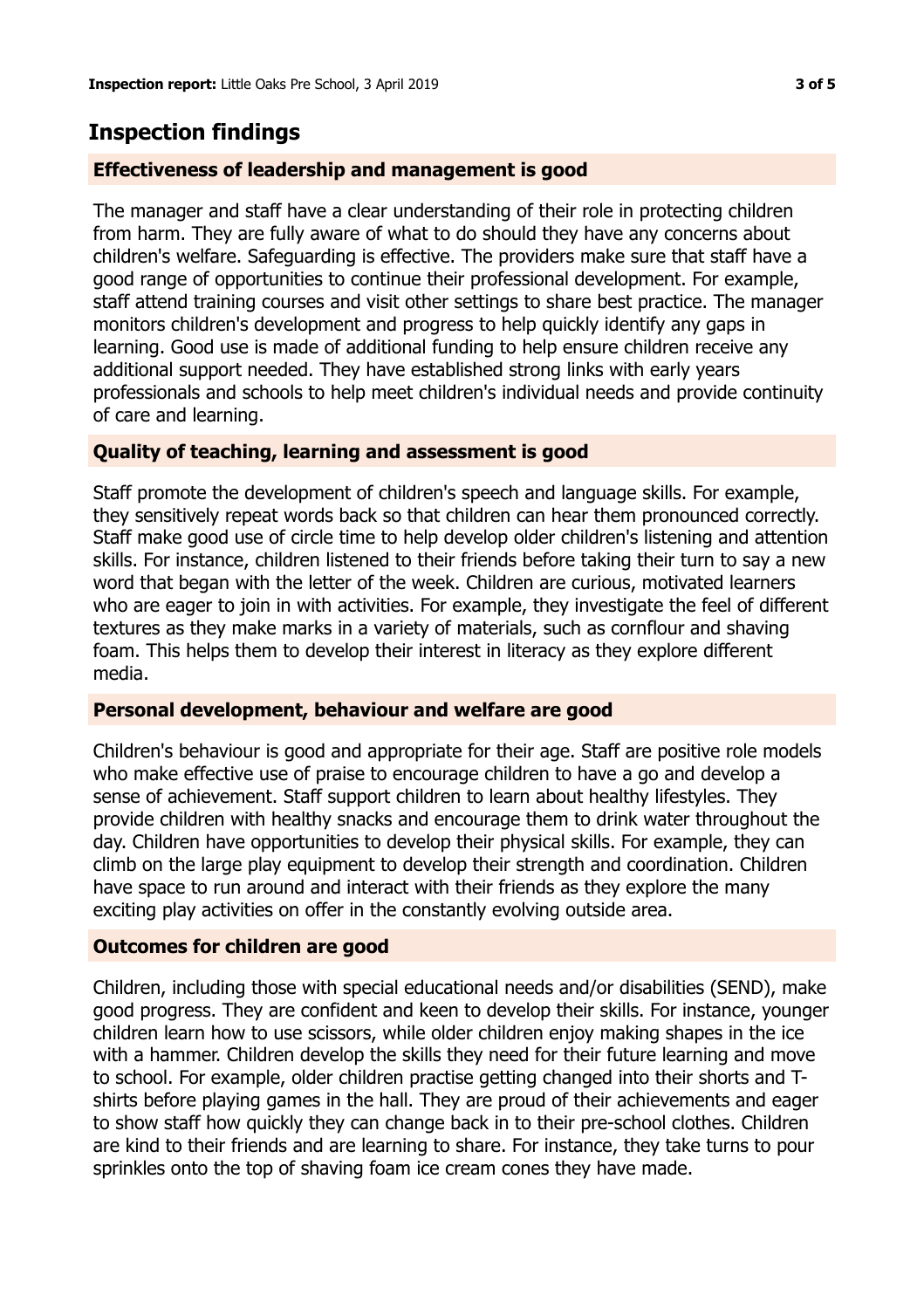## **Inspection findings**

## **Effectiveness of leadership and management is good**

The manager and staff have a clear understanding of their role in protecting children from harm. They are fully aware of what to do should they have any concerns about children's welfare. Safeguarding is effective. The providers make sure that staff have a good range of opportunities to continue their professional development. For example, staff attend training courses and visit other settings to share best practice. The manager monitors children's development and progress to help quickly identify any gaps in learning. Good use is made of additional funding to help ensure children receive any additional support needed. They have established strong links with early years professionals and schools to help meet children's individual needs and provide continuity of care and learning.

### **Quality of teaching, learning and assessment is good**

Staff promote the development of children's speech and language skills. For example, they sensitively repeat words back so that children can hear them pronounced correctly. Staff make good use of circle time to help develop older children's listening and attention skills. For instance, children listened to their friends before taking their turn to say a new word that began with the letter of the week. Children are curious, motivated learners who are eager to join in with activities. For example, they investigate the feel of different textures as they make marks in a variety of materials, such as cornflour and shaving foam. This helps them to develop their interest in literacy as they explore different media.

#### **Personal development, behaviour and welfare are good**

Children's behaviour is good and appropriate for their age. Staff are positive role models who make effective use of praise to encourage children to have a go and develop a sense of achievement. Staff support children to learn about healthy lifestyles. They provide children with healthy snacks and encourage them to drink water throughout the day. Children have opportunities to develop their physical skills. For example, they can climb on the large play equipment to develop their strength and coordination. Children have space to run around and interact with their friends as they explore the many exciting play activities on offer in the constantly evolving outside area.

#### **Outcomes for children are good**

Children, including those with special educational needs and/or disabilities (SEND), make good progress. They are confident and keen to develop their skills. For instance, younger children learn how to use scissors, while older children enjoy making shapes in the ice with a hammer. Children develop the skills they need for their future learning and move to school. For example, older children practise getting changed into their shorts and Tshirts before playing games in the hall. They are proud of their achievements and eager to show staff how quickly they can change back in to their pre-school clothes. Children are kind to their friends and are learning to share. For instance, they take turns to pour sprinkles onto the top of shaving foam ice cream cones they have made.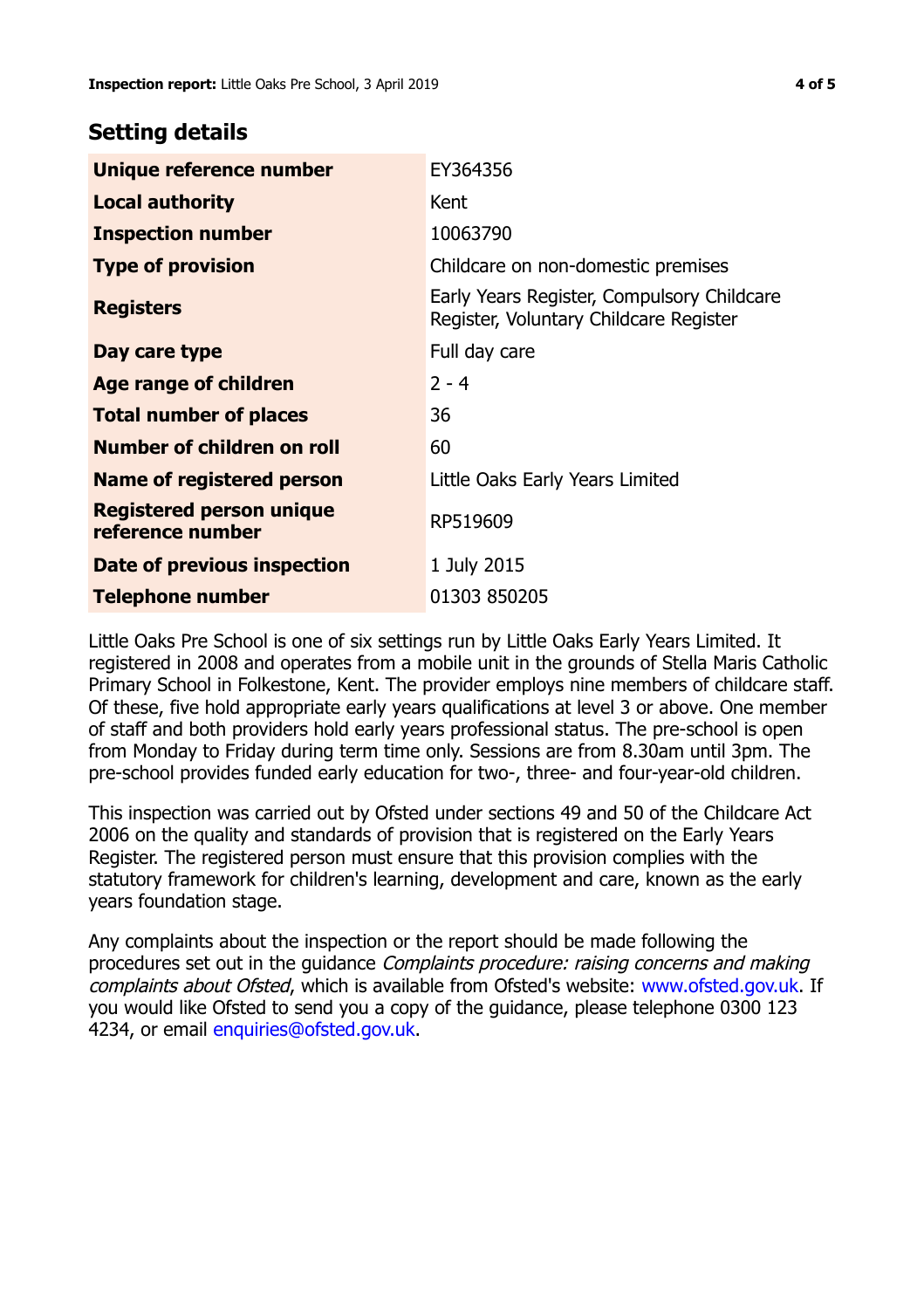## **Setting details**

| Unique reference number                             | EY364356                                                                             |  |
|-----------------------------------------------------|--------------------------------------------------------------------------------------|--|
| <b>Local authority</b>                              | Kent                                                                                 |  |
| <b>Inspection number</b>                            | 10063790                                                                             |  |
| <b>Type of provision</b>                            | Childcare on non-domestic premises                                                   |  |
| <b>Registers</b>                                    | Early Years Register, Compulsory Childcare<br>Register, Voluntary Childcare Register |  |
| Day care type                                       | Full day care                                                                        |  |
| <b>Age range of children</b>                        | $2 - 4$                                                                              |  |
| <b>Total number of places</b>                       | 36                                                                                   |  |
| Number of children on roll                          | 60                                                                                   |  |
| Name of registered person                           | Little Oaks Early Years Limited                                                      |  |
| <b>Registered person unique</b><br>reference number | RP519609                                                                             |  |
| Date of previous inspection                         | 1 July 2015                                                                          |  |
| <b>Telephone number</b>                             | 01303 850205                                                                         |  |

Little Oaks Pre School is one of six settings run by Little Oaks Early Years Limited. It registered in 2008 and operates from a mobile unit in the grounds of Stella Maris Catholic Primary School in Folkestone, Kent. The provider employs nine members of childcare staff. Of these, five hold appropriate early years qualifications at level 3 or above. One member of staff and both providers hold early years professional status. The pre-school is open from Monday to Friday during term time only. Sessions are from 8.30am until 3pm. The pre-school provides funded early education for two-, three- and four-year-old children.

This inspection was carried out by Ofsted under sections 49 and 50 of the Childcare Act 2006 on the quality and standards of provision that is registered on the Early Years Register. The registered person must ensure that this provision complies with the statutory framework for children's learning, development and care, known as the early years foundation stage.

Any complaints about the inspection or the report should be made following the procedures set out in the guidance Complaints procedure: raising concerns and making complaints about Ofsted, which is available from Ofsted's website: www.ofsted.gov.uk. If you would like Ofsted to send you a copy of the guidance, please telephone 0300 123 4234, or email [enquiries@ofsted.gov.uk.](mailto:enquiries@ofsted.gov.uk)